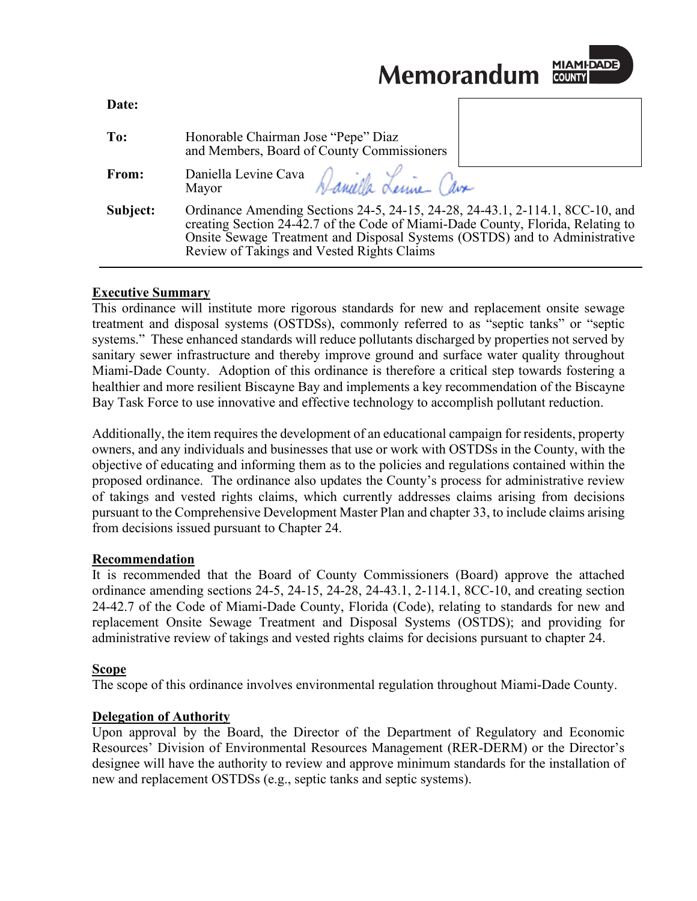**Memorandum** 



| Date:    |                                                                                                                                                                                                                                                                                              |  |
|----------|----------------------------------------------------------------------------------------------------------------------------------------------------------------------------------------------------------------------------------------------------------------------------------------------|--|
| To:      | Honorable Chairman Jose "Pepe" Diaz<br>and Members, Board of County Commissioners                                                                                                                                                                                                            |  |
| From:    | Daniella Levine Cava Daniella Lenine Cava                                                                                                                                                                                                                                                    |  |
| Subject: | Ordinance Amending Sections 24-5, 24-15, 24-28, 24-43.1, 2-114.1, 8CC-10, and<br>creating Section 24-42.7 of the Code of Miami-Dade County, Florida, Relating to<br>Onsite Sewage Treatment and Disposal Systems (OSTDS) and to Administrative<br>Review of Takings and Vested Rights Claims |  |

#### **Executive Summary**

This ordinance will institute more rigorous standards for new and replacement onsite sewage treatment and disposal systems (OSTDSs), commonly referred to as "septic tanks" or "septic systems." These enhanced standards will reduce pollutants discharged by properties not served by sanitary sewer infrastructure and thereby improve ground and surface water quality throughout Miami-Dade County. Adoption of this ordinance is therefore a critical step towards fostering a healthier and more resilient Biscayne Bay and implements a key recommendation of the Biscayne Bay Task Force to use innovative and effective technology to accomplish pollutant reduction.

Additionally, the item requires the development of an educational campaign for residents, property owners, and any individuals and businesses that use or work with OSTDSs in the County, with the objective of educating and informing them as to the policies and regulations contained within the proposed ordinance. The ordinance also updates the County's process for administrative review of takings and vested rights claims, which currently addresses claims arising from decisions pursuant to the Comprehensive Development Master Plan and chapter 33, to include claims arising from decisions issued pursuant to Chapter 24.

## **Recommendation**

It is recommended that the Board of County Commissioners (Board) approve the attached ordinance amending sections 24-5, 24-15, 24-28, 24-43.1, 2-114.1, 8CC-10, and creating section 24-42.7 of the Code of Miami-Dade County, Florida (Code), relating to standards for new and replacement Onsite Sewage Treatment and Disposal Systems (OSTDS); and providing for administrative review of takings and vested rights claims for decisions pursuant to chapter 24.

## **Scope**

The scope of this ordinance involves environmental regulation throughout Miami-Dade County.

## **Delegation of Authority**

Upon approval by the Board, the Director of the Department of Regulatory and Economic Resources' Division of Environmental Resources Management (RER-DERM) or the Director's designee will have the authority to review and approve minimum standards for the installation of new and replacement OSTDSs (e.g., septic tanks and septic systems).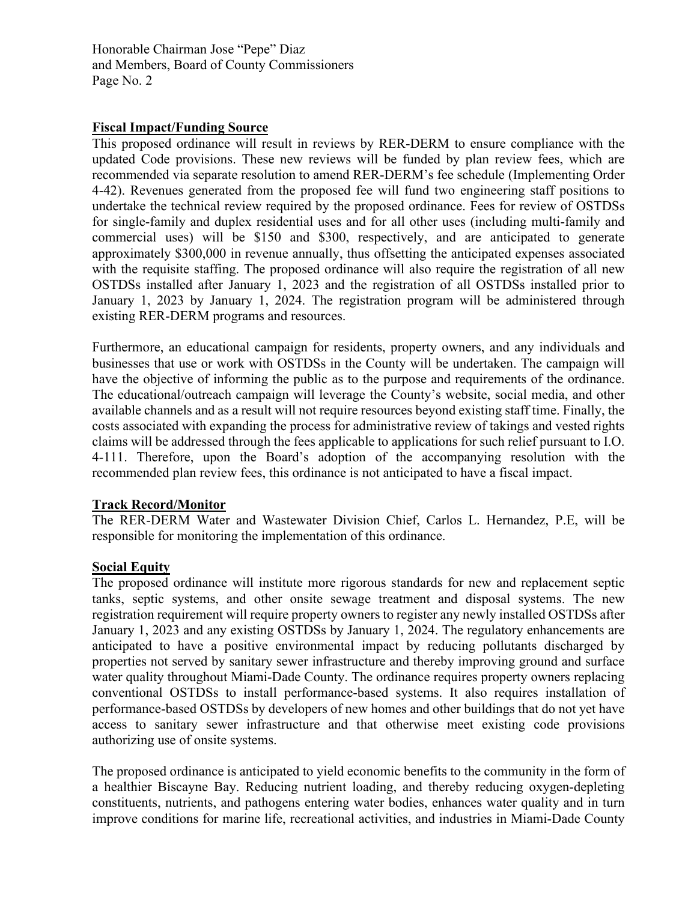## **Fiscal Impact/Funding Source**

This proposed ordinance will result in reviews by RER-DERM to ensure compliance with the updated Code provisions. These new reviews will be funded by plan review fees, which are recommended via separate resolution to amend RER-DERM's fee schedule (Implementing Order 4-42). Revenues generated from the proposed fee will fund two engineering staff positions to undertake the technical review required by the proposed ordinance. Fees for review of OSTDSs for single-family and duplex residential uses and for all other uses (including multi-family and commercial uses) will be \$150 and \$300, respectively, and are anticipated to generate approximately \$300,000 in revenue annually, thus offsetting the anticipated expenses associated with the requisite staffing. The proposed ordinance will also require the registration of all new OSTDSs installed after January 1, 2023 and the registration of all OSTDSs installed prior to January 1, 2023 by January 1, 2024. The registration program will be administered through existing RER-DERM programs and resources.

Furthermore, an educational campaign for residents, property owners, and any individuals and businesses that use or work with OSTDSs in the County will be undertaken. The campaign will have the objective of informing the public as to the purpose and requirements of the ordinance. The educational/outreach campaign will leverage the County's website, social media, and other available channels and as a result will not require resources beyond existing staff time. Finally, the costs associated with expanding the process for administrative review of takings and vested rights claims will be addressed through the fees applicable to applications for such relief pursuant to I.O. 4-111. Therefore, upon the Board's adoption of the accompanying resolution with the recommended plan review fees, this ordinance is not anticipated to have a fiscal impact.

## **Track Record/Monitor**

The RER-DERM Water and Wastewater Division Chief, Carlos L. Hernandez, P.E, will be responsible for monitoring the implementation of this ordinance.

## **Social Equity**

The proposed ordinance will institute more rigorous standards for new and replacement septic tanks, septic systems, and other onsite sewage treatment and disposal systems. The new registration requirement will require property owners to register any newly installed OSTDSs after January 1, 2023 and any existing OSTDSs by January 1, 2024. The regulatory enhancements are anticipated to have a positive environmental impact by reducing pollutants discharged by properties not served by sanitary sewer infrastructure and thereby improving ground and surface water quality throughout Miami-Dade County. The ordinance requires property owners replacing conventional OSTDSs to install performance-based systems. It also requires installation of performance-based OSTDSs by developers of new homes and other buildings that do not yet have access to sanitary sewer infrastructure and that otherwise meet existing code provisions authorizing use of onsite systems.

The proposed ordinance is anticipated to yield economic benefits to the community in the form of a healthier Biscayne Bay. Reducing nutrient loading, and thereby reducing oxygen-depleting constituents, nutrients, and pathogens entering water bodies, enhances water quality and in turn improve conditions for marine life, recreational activities, and industries in Miami-Dade County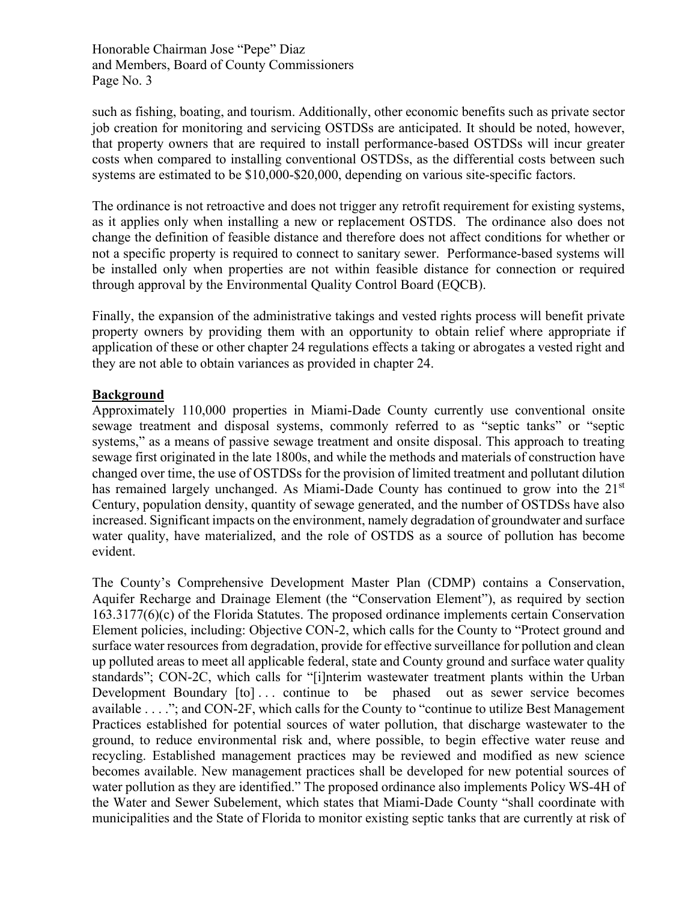such as fishing, boating, and tourism. Additionally, other economic benefits such as private sector job creation for monitoring and servicing OSTDSs are anticipated. It should be noted, however, that property owners that are required to install performance-based OSTDSs will incur greater costs when compared to installing conventional OSTDSs, as the differential costs between such systems are estimated to be \$10,000-\$20,000, depending on various site-specific factors.

The ordinance is not retroactive and does not trigger any retrofit requirement for existing systems, as it applies only when installing a new or replacement OSTDS. The ordinance also does not change the definition of feasible distance and therefore does not affect conditions for whether or not a specific property is required to connect to sanitary sewer. Performance-based systems will be installed only when properties are not within feasible distance for connection or required through approval by the Environmental Quality Control Board (EQCB).

Finally, the expansion of the administrative takings and vested rights process will benefit private property owners by providing them with an opportunity to obtain relief where appropriate if application of these or other chapter 24 regulations effects a taking or abrogates a vested right and they are not able to obtain variances as provided in chapter 24.

## **Background**

Approximately 110,000 properties in Miami-Dade County currently use conventional onsite sewage treatment and disposal systems, commonly referred to as "septic tanks" or "septic systems," as a means of passive sewage treatment and onsite disposal. This approach to treating sewage first originated in the late 1800s, and while the methods and materials of construction have changed over time, the use of OSTDSs for the provision of limited treatment and pollutant dilution has remained largely unchanged. As Miami-Dade County has continued to grow into the 21<sup>st</sup> Century, population density, quantity of sewage generated, and the number of OSTDSs have also increased. Significant impacts on the environment, namely degradation of groundwater and surface water quality, have materialized, and the role of OSTDS as a source of pollution has become evident.

The County's Comprehensive Development Master Plan (CDMP) contains a Conservation, Aquifer Recharge and Drainage Element (the "Conservation Element"), as required by section 163.3177(6)(c) of the Florida Statutes. The proposed ordinance implements certain Conservation Element policies, including: Objective CON-2, which calls for the County to "Protect ground and surface water resources from degradation, provide for effective surveillance for pollution and clean up polluted areas to meet all applicable federal, state and County ground and surface water quality standards"; CON-2C, which calls for "[i]nterim wastewater treatment plants within the Urban Development Boundary [to]... continue to be phased out as sewer service becomes available . . . ."; and CON-2F, which calls for the County to "continue to utilize Best Management Practices established for potential sources of water pollution, that discharge wastewater to the ground, to reduce environmental risk and, where possible, to begin effective water reuse and recycling. Established management practices may be reviewed and modified as new science becomes available. New management practices shall be developed for new potential sources of water pollution as they are identified." The proposed ordinance also implements Policy WS-4H of the Water and Sewer Subelement, which states that Miami-Dade County "shall coordinate with municipalities and the State of Florida to monitor existing septic tanks that are currently at risk of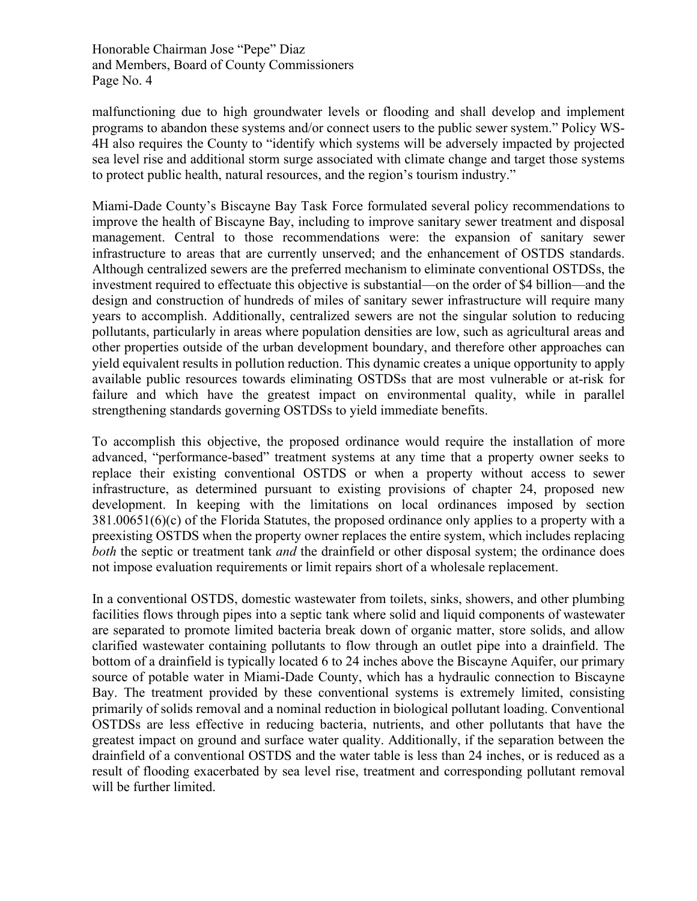malfunctioning due to high groundwater levels or flooding and shall develop and implement programs to abandon these systems and/or connect users to the public sewer system." Policy WS-4H also requires the County to "identify which systems will be adversely impacted by projected sea level rise and additional storm surge associated with climate change and target those systems to protect public health, natural resources, and the region's tourism industry."

Miami-Dade County's Biscayne Bay Task Force formulated several policy recommendations to improve the health of Biscayne Bay, including to improve sanitary sewer treatment and disposal management. Central to those recommendations were: the expansion of sanitary sewer infrastructure to areas that are currently unserved; and the enhancement of OSTDS standards. Although centralized sewers are the preferred mechanism to eliminate conventional OSTDSs, the investment required to effectuate this objective is substantial—on the order of \$4 billion—and the design and construction of hundreds of miles of sanitary sewer infrastructure will require many years to accomplish. Additionally, centralized sewers are not the singular solution to reducing pollutants, particularly in areas where population densities are low, such as agricultural areas and other properties outside of the urban development boundary, and therefore other approaches can yield equivalent results in pollution reduction. This dynamic creates a unique opportunity to apply available public resources towards eliminating OSTDSs that are most vulnerable or at-risk for failure and which have the greatest impact on environmental quality, while in parallel strengthening standards governing OSTDSs to yield immediate benefits.

To accomplish this objective, the proposed ordinance would require the installation of more advanced, "performance-based" treatment systems at any time that a property owner seeks to replace their existing conventional OSTDS or when a property without access to sewer infrastructure, as determined pursuant to existing provisions of chapter 24, proposed new development. In keeping with the limitations on local ordinances imposed by section 381.00651(6)(c) of the Florida Statutes, the proposed ordinance only applies to a property with a preexisting OSTDS when the property owner replaces the entire system, which includes replacing *both* the septic or treatment tank *and* the drainfield or other disposal system; the ordinance does not impose evaluation requirements or limit repairs short of a wholesale replacement.

In a conventional OSTDS, domestic wastewater from toilets, sinks, showers, and other plumbing facilities flows through pipes into a septic tank where solid and liquid components of wastewater are separated to promote limited bacteria break down of organic matter, store solids, and allow clarified wastewater containing pollutants to flow through an outlet pipe into a drainfield. The bottom of a drainfield is typically located 6 to 24 inches above the Biscayne Aquifer, our primary source of potable water in Miami-Dade County, which has a hydraulic connection to Biscayne Bay. The treatment provided by these conventional systems is extremely limited, consisting primarily of solids removal and a nominal reduction in biological pollutant loading. Conventional OSTDSs are less effective in reducing bacteria, nutrients, and other pollutants that have the greatest impact on ground and surface water quality. Additionally, if the separation between the drainfield of a conventional OSTDS and the water table is less than 24 inches, or is reduced as a result of flooding exacerbated by sea level rise, treatment and corresponding pollutant removal will be further limited.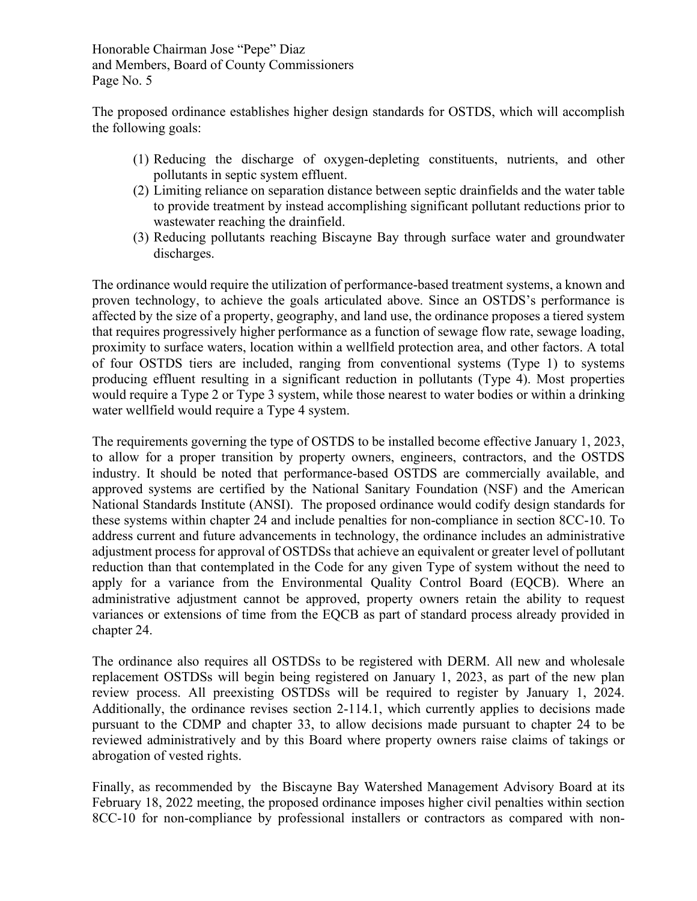The proposed ordinance establishes higher design standards for OSTDS, which will accomplish the following goals:

- (1) Reducing the discharge of oxygen-depleting constituents, nutrients, and other pollutants in septic system effluent.
- (2) Limiting reliance on separation distance between septic drainfields and the water table to provide treatment by instead accomplishing significant pollutant reductions prior to wastewater reaching the drainfield.
- (3) Reducing pollutants reaching Biscayne Bay through surface water and groundwater discharges.

The ordinance would require the utilization of performance-based treatment systems, a known and proven technology, to achieve the goals articulated above. Since an OSTDS's performance is affected by the size of a property, geography, and land use, the ordinance proposes a tiered system that requires progressively higher performance as a function of sewage flow rate, sewage loading, proximity to surface waters, location within a wellfield protection area, and other factors. A total of four OSTDS tiers are included, ranging from conventional systems (Type 1) to systems producing effluent resulting in a significant reduction in pollutants (Type 4). Most properties would require a Type 2 or Type 3 system, while those nearest to water bodies or within a drinking water wellfield would require a Type 4 system.

The requirements governing the type of OSTDS to be installed become effective January 1, 2023, to allow for a proper transition by property owners, engineers, contractors, and the OSTDS industry. It should be noted that performance-based OSTDS are commercially available, and approved systems are certified by the National Sanitary Foundation (NSF) and the American National Standards Institute (ANSI). The proposed ordinance would codify design standards for these systems within chapter 24 and include penalties for non-compliance in section 8CC-10. To address current and future advancements in technology, the ordinance includes an administrative adjustment process for approval of OSTDSs that achieve an equivalent or greater level of pollutant reduction than that contemplated in the Code for any given Type of system without the need to apply for a variance from the Environmental Quality Control Board (EQCB). Where an administrative adjustment cannot be approved, property owners retain the ability to request variances or extensions of time from the EQCB as part of standard process already provided in chapter 24.

The ordinance also requires all OSTDSs to be registered with DERM. All new and wholesale replacement OSTDSs will begin being registered on January 1, 2023, as part of the new plan review process. All preexisting OSTDSs will be required to register by January 1, 2024. Additionally, the ordinance revises section 2-114.1, which currently applies to decisions made pursuant to the CDMP and chapter 33, to allow decisions made pursuant to chapter 24 to be reviewed administratively and by this Board where property owners raise claims of takings or abrogation of vested rights.

Finally, as recommended by the Biscayne Bay Watershed Management Advisory Board at its February 18, 2022 meeting, the proposed ordinance imposes higher civil penalties within section 8CC-10 for non-compliance by professional installers or contractors as compared with non-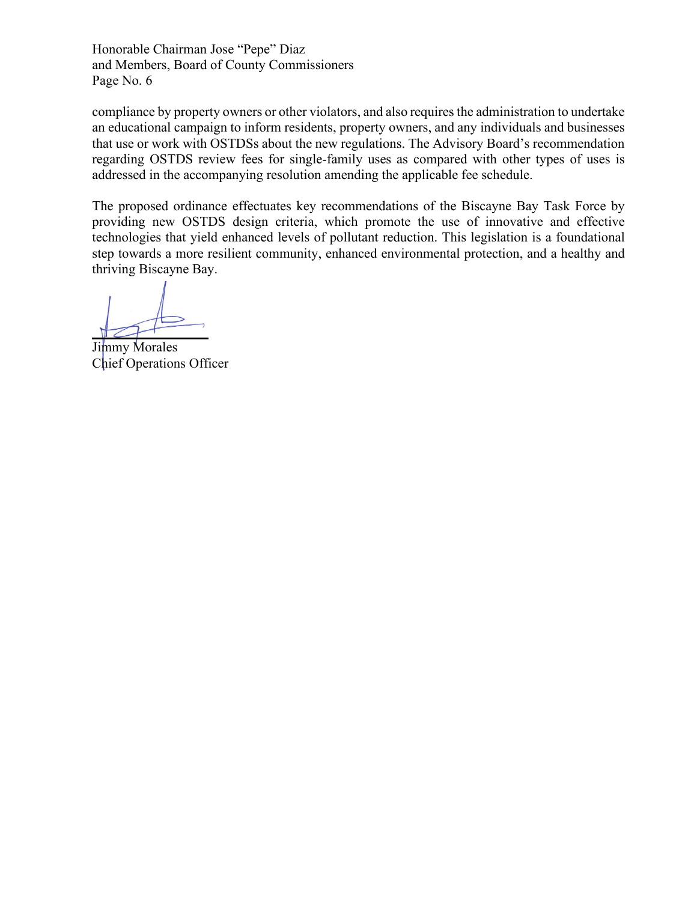compliance by property owners or other violators, and also requires the administration to undertake an educational campaign to inform residents, property owners, and any individuals and businesses that use or work with OSTDSs about the new regulations. The Advisory Board's recommendation regarding OSTDS review fees for single-family uses as compared with other types of uses is addressed in the accompanying resolution amending the applicable fee schedule.

The proposed ordinance effectuates key recommendations of the Biscayne Bay Task Force by providing new OSTDS design criteria, which promote the use of innovative and effective technologies that yield enhanced levels of pollutant reduction. This legislation is a foundational step towards a more resilient community, enhanced environmental protection, and a healthy and thriving Biscayne Bay.

 $\overline{a}$ 

Jimmy Morales Chief Operations Officer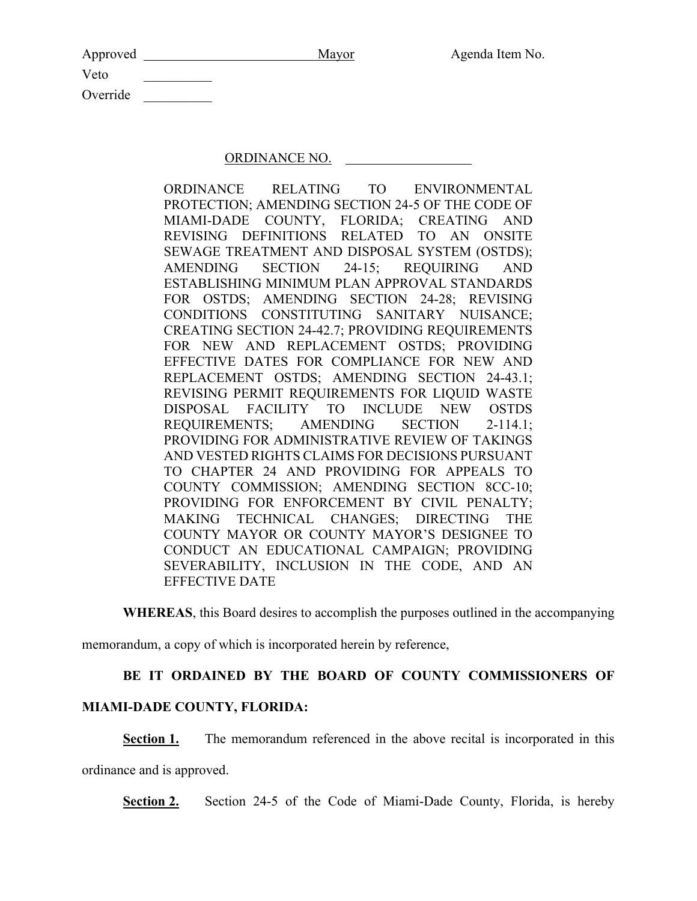| Approved | Mayor | Agenda Item No. |
|----------|-------|-----------------|
| Veto     |       |                 |
| Override |       |                 |

### ORDINANCE NO.

ORDINANCE RELATING TO ENVIRONMENTAL PROTECTION; AMENDING SECTION 24-5 OF THE CODE OF MIAMI-DADE COUNTY, FLORIDA; CREATING AND REVISING DEFINITIONS RELATED TO AN ONSITE SEWAGE TREATMENT AND DISPOSAL SYSTEM (OSTDS); AMENDING SECTION 24-15; REQUIRING AND ESTABLISHING MINIMUM PLAN APPROVAL STANDARDS FOR OSTDS; AMENDING SECTION 24-28; REVISING CONDITIONS CONSTITUTING SANITARY NUISANCE; CREATING SECTION 24-42.7; PROVIDING REQUIREMENTS FOR NEW AND REPLACEMENT OSTDS; PROVIDING EFFECTIVE DATES FOR COMPLIANCE FOR NEW AND REPLACEMENT OSTDS; AMENDING SECTION 24-43.1; REVISING PERMIT REQUIREMENTS FOR LIQUID WASTE DISPOSAL FACILITY TO INCLUDE NEW OSTDS REQUIREMENTS; AMENDING SECTION 2-114.1; PROVIDING FOR ADMINISTRATIVE REVIEW OF TAKINGS AND VESTED RIGHTS CLAIMS FOR DECISIONS PURSUANT TO CHAPTER 24 AND PROVIDING FOR APPEALS TO COUNTY COMMISSION; AMENDING SECTION 8CC-10; PROVIDING FOR ENFORCEMENT BY CIVIL PENALTY; MAKING TECHNICAL CHANGES; DIRECTING THE COUNTY MAYOR OR COUNTY MAYOR'S DESIGNEE TO CONDUCT AN EDUCATIONAL CAMPAIGN; PROVIDING SEVERABILITY, INCLUSION IN THE CODE, AND AN EFFECTIVE DATE

**WHEREAS**, this Board desires to accomplish the purposes outlined in the accompanying

memorandum, a copy of which is incorporated herein by reference,

# **BE IT ORDAINED BY THE BOARD OF COUNTY COMMISSIONERS OF**

## **MIAMI-DADE COUNTY, FLORIDA:**

**Section 1.** The memorandum referenced in the above recital is incorporated in this

ordinance and is approved.

**Section 2.** Section 24-5 of the Code of Miami-Dade County, Florida, is hereby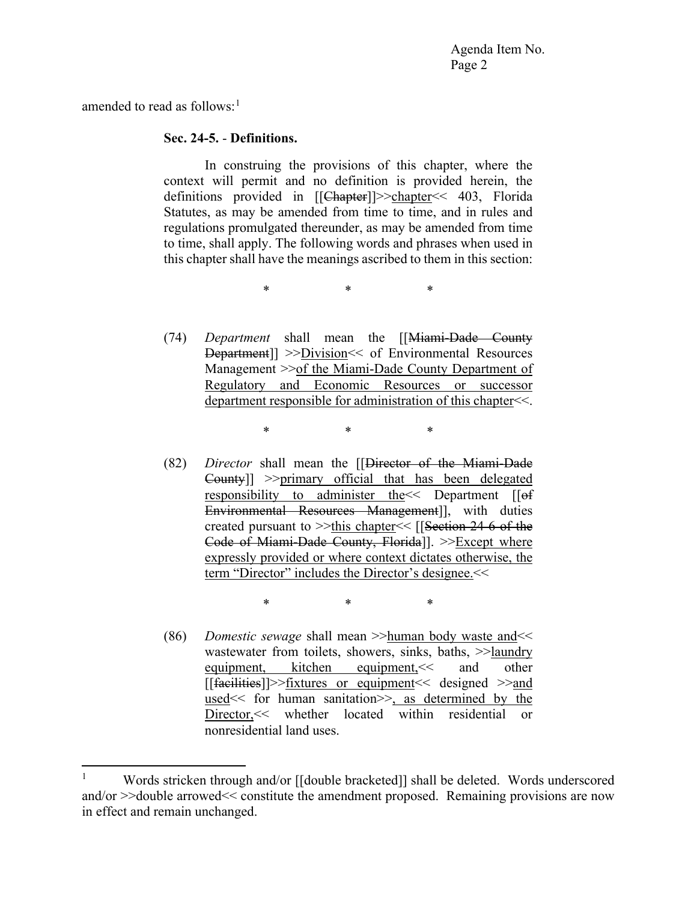amended to read as follows: $<sup>1</sup>$  $<sup>1</sup>$  $<sup>1</sup>$ </sup>

### **Sec. 24-5.** - **Definitions.**

In construing the provisions of this chapter, where the context will permit and no definition is provided herein, the definitions provided in [[Chapter]]>>chapter<< 403, Florida Statutes, as may be amended from time to time, and in rules and regulations promulgated thereunder, as may be amended from time to time, shall apply. The following words and phrases when used in this chapter shall have the meanings ascribed to them in this section:

\* \* \*

(74) *Department* shall mean the [[Miami-Dade County Department]] >>Division<< of Environmental Resources Management >>of the Miami-Dade County Department of Regulatory and Economic Resources or successor department responsible for administration of this chapter<<.

\* \* \*

(82) *Director* shall mean the [[Director of the Miami-Dade County]] >>primary official that has been delegated responsibility to administer the<< Department [[of Environmental Resources Management]], with duties created pursuant to >>this chapter<< [[Section 24-6 of the Code of Miami-Dade County, Florida]]. >>Except where expressly provided or where context dictates otherwise, the term "Director" includes the Director's designee. <<

\* \* \*

(86) *Domestic sewage* shall mean >>human body waste and<< wastewater from toilets, showers, sinks, baths,  $\gg$ laundry equipment, kitchen equipment,<< and other [[facilities]]>>fixtures or equipment<< designed >>and used<< for human sanitation>>, as determined by the Director,<< whether located within residential or nonresidential land uses.

<span id="page-7-0"></span><sup>&</sup>lt;sup>1</sup> Words stricken through and/or  $\left[\frac{1}{2}$  bracketed $\right]$  shall be deleted. Words underscored and/or >>double arrowed<< constitute the amendment proposed. Remaining provisions are now in effect and remain unchanged.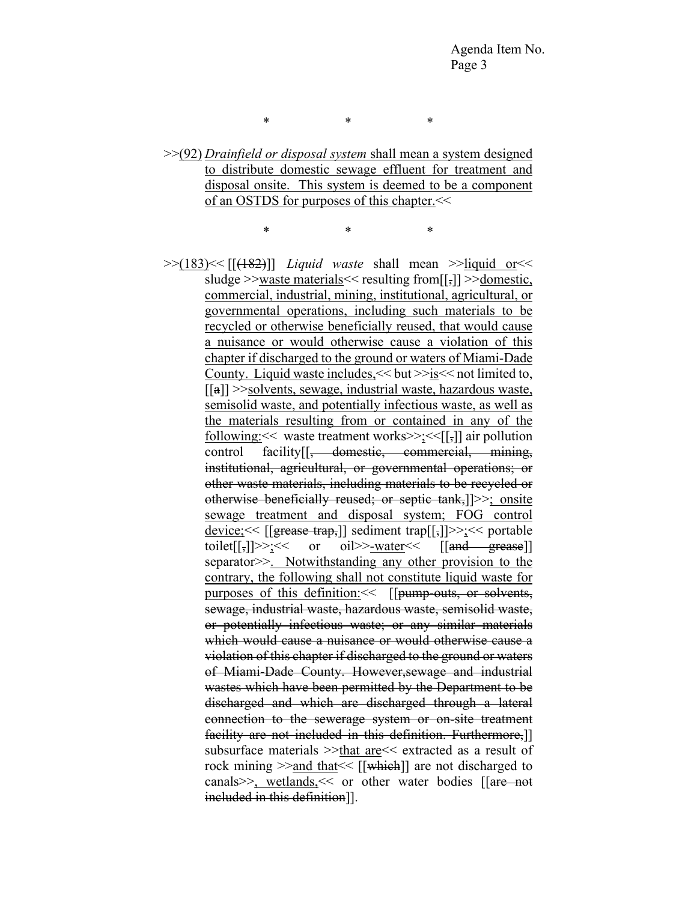\* \* \*

>>(92) *Drainfield or disposal system* shall mean a system designed to distribute domestic sewage effluent for treatment and disposal onsite. This system is deemed to be a component of an OSTDS for purposes of this chapter.<<

\* \* \*

>>(183)<< [[(182)]] *Liquid waste* shall mean >>liquid or<< sludge >>waste materials<< resulting from[[,]] >>domestic, commercial, industrial, mining, institutional, agricultural, or governmental operations, including such materials to be recycled or otherwise beneficially reused, that would cause a nuisance or would otherwise cause a violation of this chapter if discharged to the ground or waters of Miami-Dade County. Liquid waste includes,<< but >>is<< not limited to,  $\lceil \lceil a \rceil \rceil$  >>solvents, sewage, industrial waste, hazardous waste, semisolid waste, and potentially infectious waste, as well as the materials resulting from or contained in any of the following:<< waste treatment works>>;<<[[,]] air pollution control facility<sup>[[, domestic, commercial, mining,</sup> institutional, agricultural, or governmental operations; or other waste materials, including materials to be recycled or otherwise beneficially reused; or septic tank,]]>>; onsite sewage treatment and disposal system; FOG control device;  $\leq$  [[grease trap,]] sediment trap[[,]] $>>$ ;  $\leq$  portable toilet[[,] $>> <<$  or oil>>-water  $<$  [[and grease]] separator>>. Notwithstanding any other provision to the contrary, the following shall not constitute liquid waste for purposes of this definition: << [[pump-outs, or solvents, sewage, industrial waste, hazardous waste, semisolid waste, or potentially infectious waste; or any similar materials which would cause a nuisance or would otherwise cause a violation of this chapter if discharged to the ground or waters of Miami-Dade County. However,sewage and industrial wastes which have been permitted by the Department to be discharged and which are discharged through a lateral connection to the sewerage system or on-site treatment facility are not included in this definition. Furthermore,]] subsurface materials >>that are<< extracted as a result of rock mining >>and that<< [[which]] are not discharged to canals>>, wetlands,<< or other water bodies [[are not included in this definition]].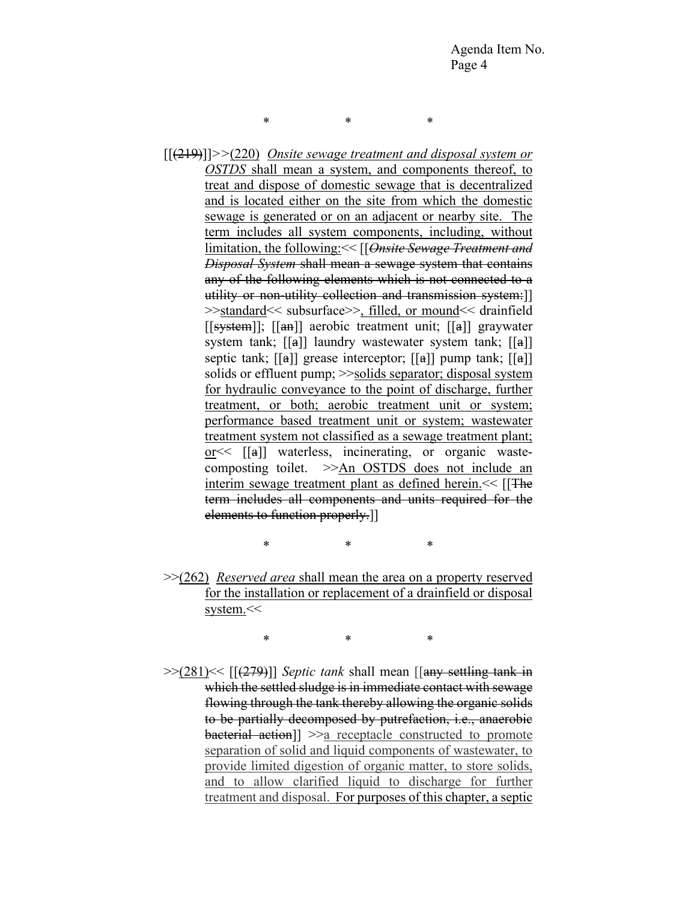\* \* \*

[[(219)]]*>>*(220) *Onsite sewage treatment and disposal system or OSTDS* shall mean a system, and components thereof, to treat and dispose of domestic sewage that is decentralized and is located either on the site from which the domestic sewage is generated or on an adjacent or nearby site. The term includes all system components, including, without limitation, the following:<< [[*Onsite Sewage Treatment and Disposal System* shall mean a sewage system that contains any of the following elements which is not connected to a utility or non-utility collection and transmission system:]] >>standard<< subsurface>>, filled, or mound<< drainfield [[system]]; [[an]] aerobic treatment unit; [[a]] graywater system tank; [[a]] laundry wastewater system tank; [[a]] septic tank; [[a]] grease interceptor; [[a]] pump tank; [[a]] solids or effluent pump;  $\gg$ solids separator; disposal system for hydraulic conveyance to the point of discharge, further treatment, or both; aerobic treatment unit or system; performance based treatment unit or system; wastewater treatment system not classified as a sewage treatment plant; or  $\leq$  [[a]] waterless, incinerating, or organic wastecomposting toilet. >>An OSTDS does not include an interim sewage treatment plant as defined herein.  $<<$  [[The term includes all components and units required for the elements to function properly.]]

\* \* \*

>>(262) *Reserved area* shall mean the area on a property reserved for the installation or replacement of a drainfield or disposal system.<<

\* \* \*

>>(281)<< [[(279)]] *Septic tank* shall mean [[any settling tank in which the settled sludge is in immediate contact with sewage flowing through the tank thereby allowing the organic solids to be partially decomposed by putrefaction, i.e., anaerobic bacterial action]] >>a receptacle constructed to promote separation of solid and liquid components of wastewater, to provide limited digestion of organic matter, to store solids, and to allow clarified liquid to discharge for further treatment and disposal. For purposes of this chapter, a septic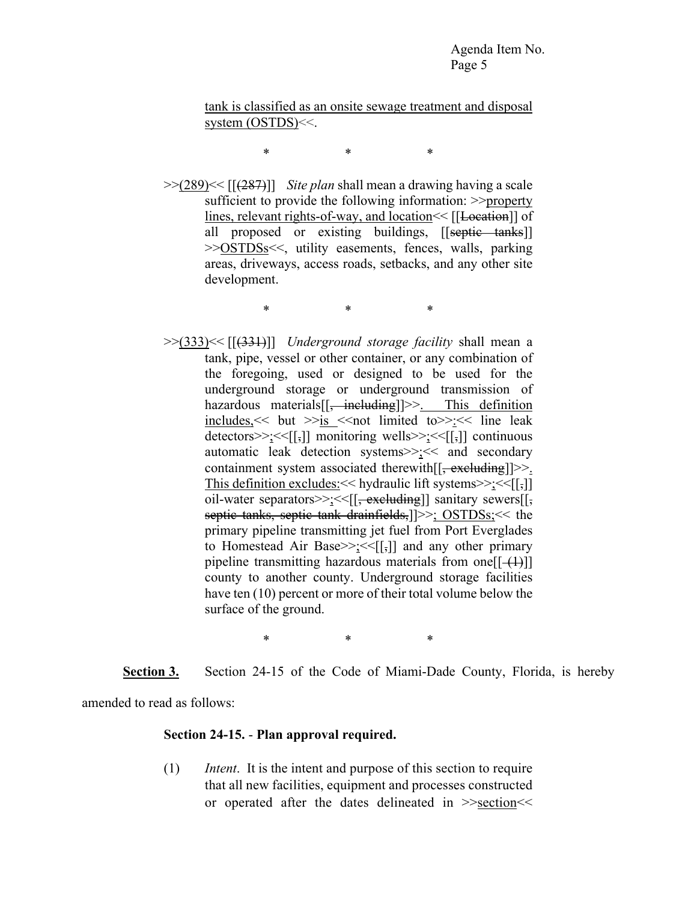tank is classified as an onsite sewage treatment and disposal system (OSTDS)<<.

\* \* \*

>>(289)<< [[(287)]] *Site plan* shall mean a drawing having a scale sufficient to provide the following information: >>property lines, relevant rights-of-way, and location  $\leq$  [[Location]] of all proposed or existing buildings, [[septic tanks]] >>OSTDSs<<, utility easements, fences, walls, parking areas, driveways, access roads, setbacks, and any other site development.

\* \* \*

>>(333)<< [[(331)]] *Underground storage facility* shall mean a tank, pipe, vessel or other container, or any combination of the foregoing, used or designed to be used for the underground storage or underground transmission of hazardous materials[[<del>, including</del>]]>>. This definition  $includes, \leq but \geq is \leq not limited to \geq < \leq line leak$ detectors>>;<<[[,]] monitoring wells>>;<<[[,]] continuous automatic leak detection systems>>;<< and secondary containment system associated therewith  $[\frac{1}{2}, \frac{1}{2}]$ >. This definition excludes:  $\leq$  hydraulic lift systems $\geq$ ;  $\leq$ [[,]] oil-water separators>>:<<[[, excluding]] sanitary sewers[[, septic tanks, septic tank drainfields,  $] >>$ ; OSTDSs; << the primary pipeline transmitting jet fuel from Port Everglades to Homestead Air Base>>;<< $[[,]]$  and any other primary pipeline transmitting hazardous materials from one  $[[(1)]]$ county to another county. Underground storage facilities have ten (10) percent or more of their total volume below the surface of the ground.

\* \* \*

**Section 3.** Section 24-15 of the Code of Miami-Dade County, Florida, is hereby

amended to read as follows:

#### **Section 24-15.** - **Plan approval required.**

(1) *Intent*. It is the intent and purpose of this section to require that all new facilities, equipment and processes constructed or operated after the dates delineated in >>section<<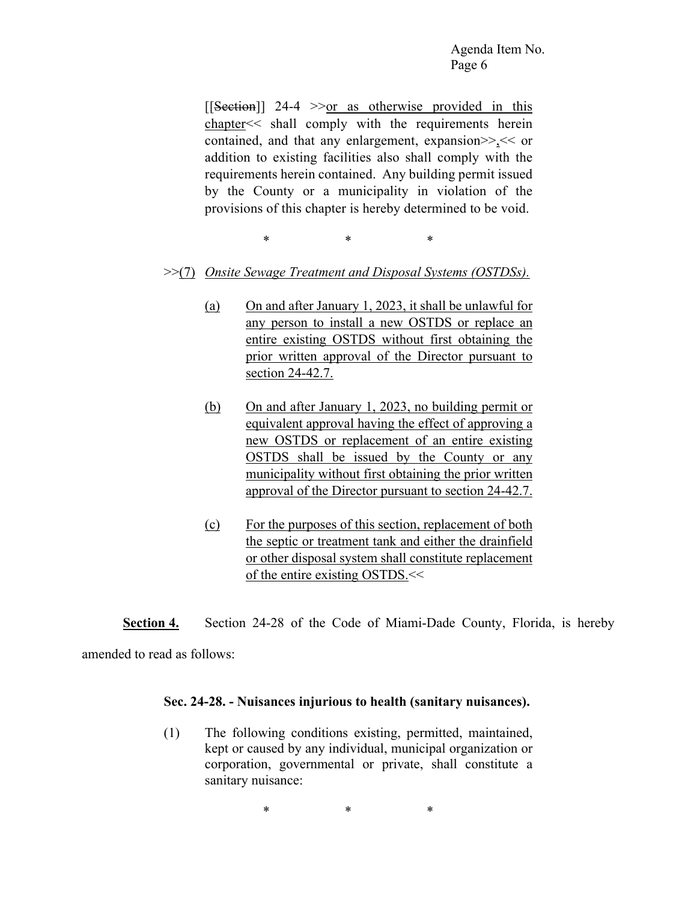$[$ [Section]] 24-4 >>or as otherwise provided in this chapter<< shall comply with the requirements herein contained, and that any enlargement, expansion>>,<< or addition to existing facilities also shall comply with the requirements herein contained. Any building permit issued by the County or a municipality in violation of the provisions of this chapter is hereby determined to be void.

\* \* \*

- >>(7) *Onsite Sewage Treatment and Disposal Systems (OSTDSs).*
	- (a) On and after January 1, 2023, it shall be unlawful for any person to install a new OSTDS or replace an entire existing OSTDS without first obtaining the prior written approval of the Director pursuant to section 24-42.7.
	- (b) On and after January 1, 2023, no building permit or equivalent approval having the effect of approving a new OSTDS or replacement of an entire existing OSTDS shall be issued by the County or any municipality without first obtaining the prior written approval of the Director pursuant to section 24-42.7.
	- (c) For the purposes of this section, replacement of both the septic or treatment tank and either the drainfield or other disposal system shall constitute replacement of the entire existing OSTDS.<<

**Section 4.** Section 24-28 of the Code of Miami-Dade County, Florida, is hereby amended to read as follows:

#### **Sec. 24-28. - Nuisances injurious to health (sanitary nuisances).**

(1) The following conditions existing, permitted, maintained, kept or caused by any individual, municipal organization or corporation, governmental or private, shall constitute a sanitary nuisance:

\* \* \*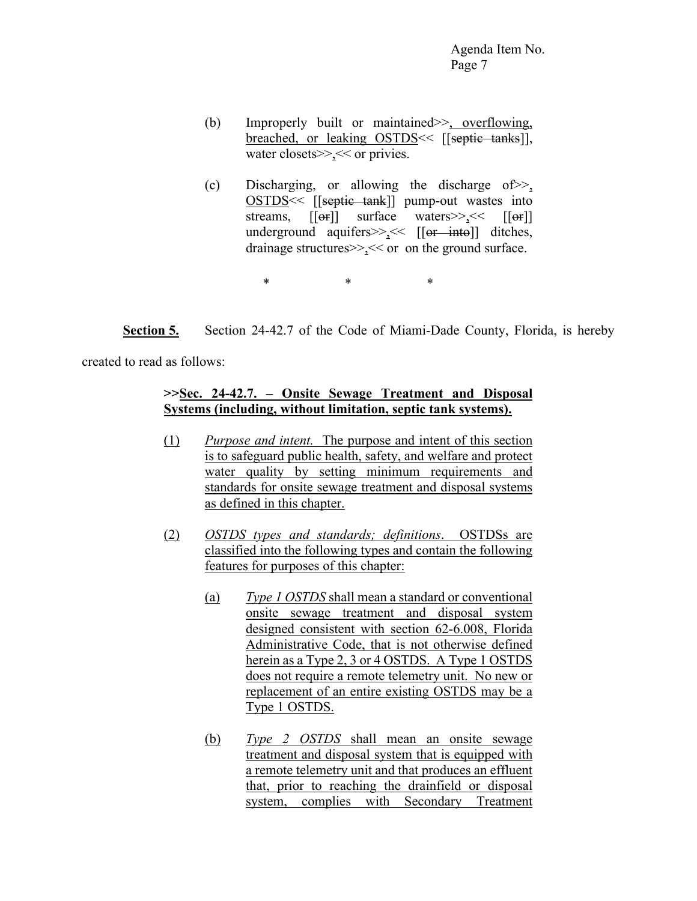- (b) Improperly built or maintained>>, overflowing, breached, or leaking OSTDS << [[septic tanks]], water closets>>,<< or privies.
- (c) Discharging, or allowing the discharge of>>, OSTDS<< [[septic tank]] pump-out wastes into streams,  $[[\Theta]$  surface waters  $>><sub>2</sub> << [[\Theta]$ underground aquifers $>><$  [[or into]] ditches, drainage structures>>,<< or on the ground surface.

\* \* \*

**Section 5.** Section 24-42.7 of the Code of Miami-Dade County, Florida, is hereby

created to read as follows:

# **>>Sec. 24-42.7. – Onsite Sewage Treatment and Disposal Systems (including, without limitation, septic tank systems).**

- (1) *Purpose and intent.* The purpose and intent of this section is to safeguard public health, safety, and welfare and protect water quality by setting minimum requirements and standards for onsite sewage treatment and disposal systems as defined in this chapter.
- (2) *OSTDS types and standards; definitions*. OSTDSs are classified into the following types and contain the following features for purposes of this chapter:
	- (a) *Type 1 OSTDS* shall mean a standard or conventional onsite sewage treatment and disposal system designed consistent with section 62-6.008, Florida Administrative Code, that is not otherwise defined herein as a Type 2, 3 or 4 OSTDS. A Type 1 OSTDS does not require a remote telemetry unit. No new or replacement of an entire existing OSTDS may be a Type 1 OSTDS.
	- (b) *Type 2 OSTDS* shall mean an onsite sewage treatment and disposal system that is equipped with a remote telemetry unit and that produces an effluent that, prior to reaching the drainfield or disposal system, complies with Secondary Treatment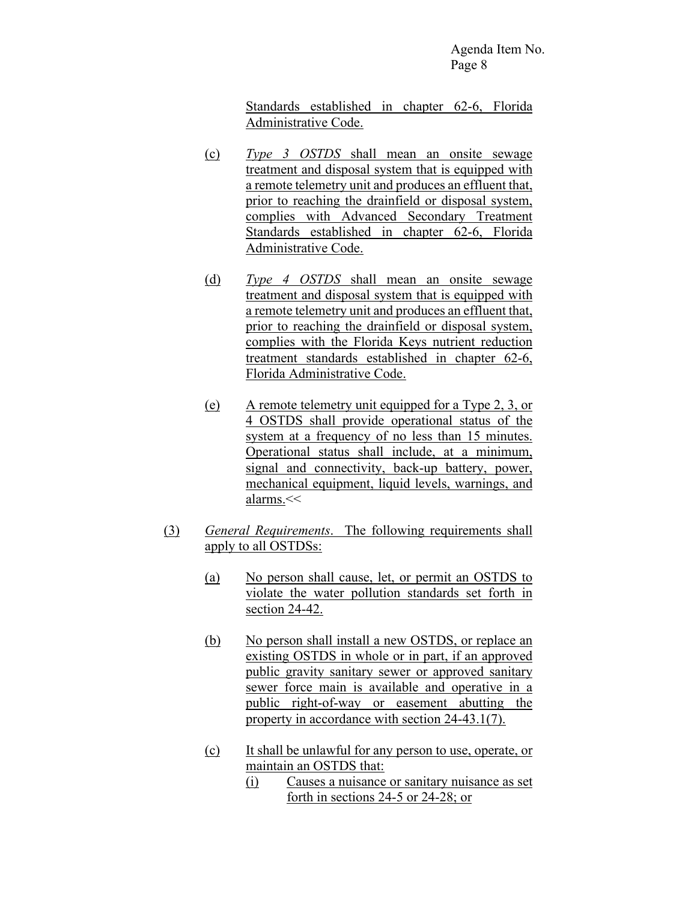Standards established in chapter 62-6, Florida Administrative Code.

- (c) *Type 3 OSTDS* shall mean an onsite sewage treatment and disposal system that is equipped with a remote telemetry unit and produces an effluent that, prior to reaching the drainfield or disposal system, complies with Advanced Secondary Treatment Standards established in chapter 62-6, Florida Administrative Code.
- (d) *Type 4 OSTDS* shall mean an onsite sewage treatment and disposal system that is equipped with a remote telemetry unit and produces an effluent that, prior to reaching the drainfield or disposal system, complies with the Florida Keys nutrient reduction treatment standards established in chapter 62-6, Florida Administrative Code.
- (e) A remote telemetry unit equipped for a Type 2, 3, or 4 OSTDS shall provide operational status of the system at a frequency of no less than 15 minutes. Operational status shall include, at a minimum, signal and connectivity, back-up battery, power, mechanical equipment, liquid levels, warnings, and alarms.<<
- (3) *General Requirements*. The following requirements shall apply to all OSTDSs:
	- (a) No person shall cause, let, or permit an OSTDS to violate the water pollution standards set forth in section 24-42.
	- (b) No person shall install a new OSTDS, or replace an existing OSTDS in whole or in part, if an approved public gravity sanitary sewer or approved sanitary sewer force main is available and operative in a public right-of-way or easement abutting the property in accordance with section 24-43.1(7).
	- (c) It shall be unlawful for any person to use, operate, or maintain an OSTDS that:
		- (i) Causes a nuisance or sanitary nuisance as set forth in sections 24-5 or 24-28; or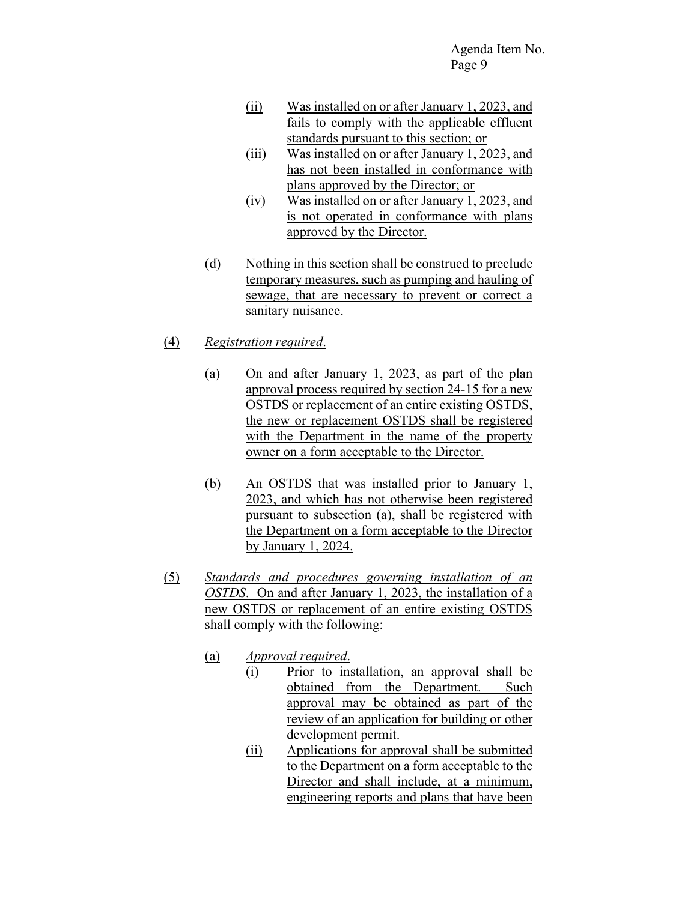- (ii) Was installed on or after January 1, 2023, and fails to comply with the applicable effluent standards pursuant to this section; or
- (iii) Was installed on or after January 1, 2023, and has not been installed in conformance with plans approved by the Director; or
- (iv) Was installed on or after January 1, 2023, and is not operated in conformance with plans approved by the Director.
- (d) Nothing in this section shall be construed to preclude temporary measures, such as pumping and hauling of sewage, that are necessary to prevent or correct a sanitary nuisance.
- (4) *Registration required*.
	- (a) On and after January 1, 2023, as part of the plan approval process required by section 24-15 for a new OSTDS or replacement of an entire existing OSTDS, the new or replacement OSTDS shall be registered with the Department in the name of the property owner on a form acceptable to the Director.
	- (b) An OSTDS that was installed prior to January 1, 2023, and which has not otherwise been registered pursuant to subsection (a), shall be registered with the Department on a form acceptable to the Director by January 1, 2024.
- (5) *Standards and procedures governing installation of an OSTDS*. On and after January 1, 2023, the installation of a new OSTDS or replacement of an entire existing OSTDS shall comply with the following:
	- (a) *Approval required*.
		- (i) Prior to installation, an approval shall be obtained from the Department. Such approval may be obtained as part of the review of an application for building or other development permit.
		- (ii) Applications for approval shall be submitted to the Department on a form acceptable to the Director and shall include, at a minimum, engineering reports and plans that have been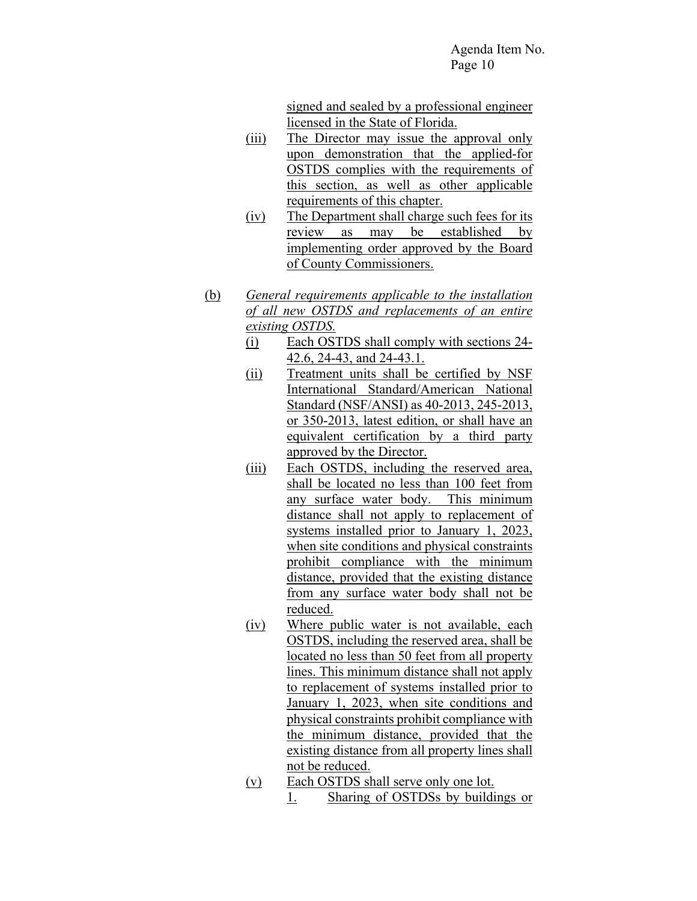signed and sealed by a professional engineer licensed in the State of Florida.

- (iii) The Director may issue the approval only upon demonstration that the applied-for OSTDS complies with the requirements of this section, as well as other applicable requirements of this chapter.
- (iv) The Department shall charge such fees for its review as may be established by implementing order approved by the Board of County Commissioners.
- (b) *General requirements applicable to the installation of all new OSTDS and replacements of an entire existing OSTDS.*
	- (i) Each OSTDS shall comply with sections 24- 42.6, 24-43, and 24-43.1.
	- (ii) Treatment units shall be certified by NSF International Standard/American National Standard (NSF/ANSI) as 40-2013, 245-2013, or 350-2013, latest edition, or shall have an equivalent certification by a third party approved by the Director.
	- (iii) Each OSTDS, including the reserved area, shall be located no less than 100 feet from any surface water body. This minimum distance shall not apply to replacement of systems installed prior to January 1, 2023, when site conditions and physical constraints prohibit compliance with the minimum distance, provided that the existing distance from any surface water body shall not be reduced.
	- (iv) Where public water is not available, each OSTDS, including the reserved area, shall be located no less than 50 feet from all property lines. This minimum distance shall not apply to replacement of systems installed prior to January 1, 2023, when site conditions and physical constraints prohibit compliance with the minimum distance, provided that the existing distance from all property lines shall not be reduced.
	- (v) Each OSTDS shall serve only one lot.
		- 1. Sharing of OSTDSs by buildings or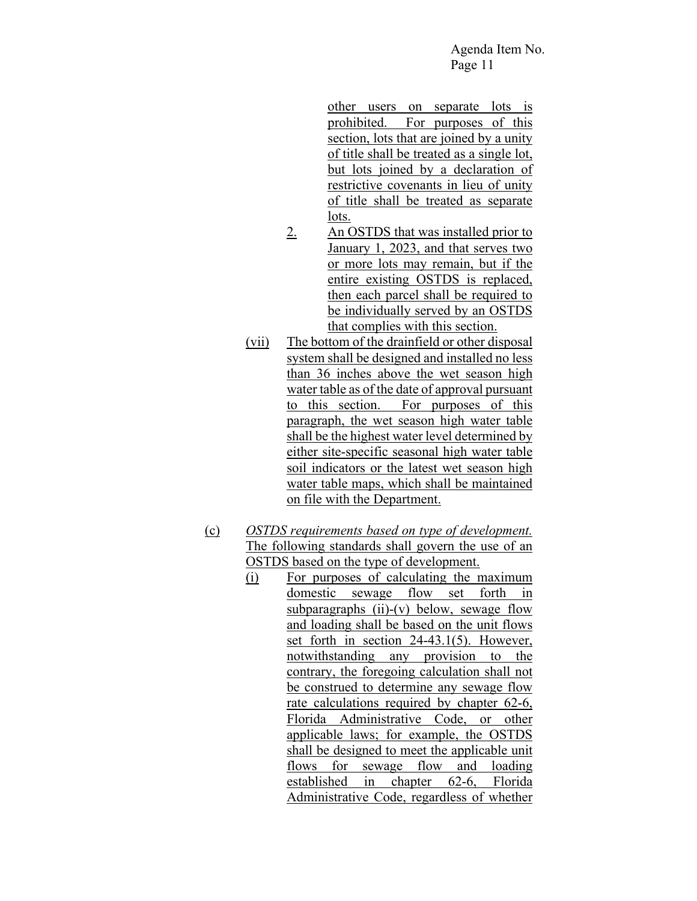other users on separate lots is prohibited. For purposes of this section, lots that are joined by a unity of title shall be treated as a single lot, but lots joined by a declaration of restrictive covenants in lieu of unity of title shall be treated as separate lots.

- 2. An OSTDS that was installed prior to January 1, 2023, and that serves two or more lots may remain, but if the entire existing OSTDS is replaced, then each parcel shall be required to be individually served by an OSTDS that complies with this section.
- (vii) The bottom of the drainfield or other disposal system shall be designed and installed no less than 36 inches above the wet season high water table as of the date of approval pursuant to this section. For purposes of this paragraph, the wet season high water table shall be the highest water level determined by either site-specific seasonal high water table soil indicators or the latest wet season high water table maps, which shall be maintained on file with the Department.
- (c) *OSTDS requirements based on type of development.* The following standards shall govern the use of an OSTDS based on the type of development.
	- (i) For purposes of calculating the maximum domestic sewage flow set forth in subparagraphs  $(ii)-(v)$  below, sewage flow and loading shall be based on the unit flows set forth in section 24-43.1(5). However, notwithstanding any provision to the contrary, the foregoing calculation shall not be construed to determine any sewage flow rate calculations required by chapter 62-6, Florida Administrative Code, or other applicable laws; for example, the OSTDS shall be designed to meet the applicable unit flows for sewage flow and loading established in chapter 62-6, Florida Administrative Code, regardless of whether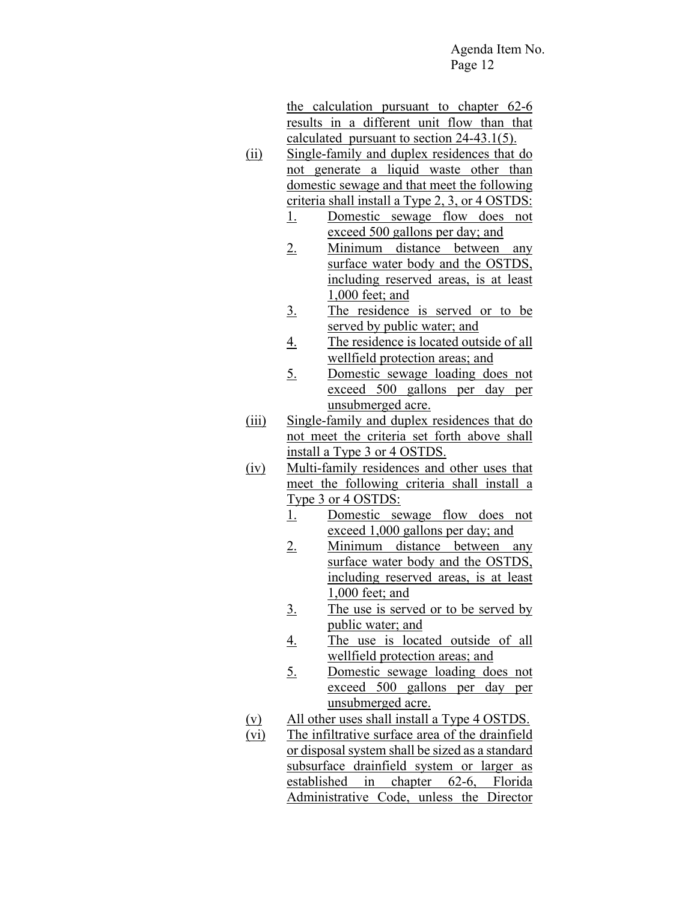the calculation pursuant to chapter 62-6 results in a different unit flow than that calculated pursuant to section 24-43.1(5).

- (ii) Single-family and duplex residences that do not generate a liquid waste other than domestic sewage and that meet the following criteria shall install a Type 2, 3, or 4 OSTDS:
	- 1. Domestic sewage flow does not exceed 500 gallons per day; and
	- 2. Minimum distance between any surface water body and the OSTDS, including reserved areas, is at least 1,000 feet; and
	- 3. The residence is served or to be served by public water; and
	- 4. The residence is located outside of all wellfield protection areas; and
	- 5. Domestic sewage loading does not exceed 500 gallons per day per unsubmerged acre.
- (iii) Single-family and duplex residences that do not meet the criteria set forth above shall install a Type 3 or 4 OSTDS.
- (iv) Multi-family residences and other uses that meet the following criteria shall install a Type 3 or 4 OSTDS:
	- 1. Domestic sewage flow does not exceed 1,000 gallons per day; and
	- 2. Minimum distance between any surface water body and the OSTDS, including reserved areas, is at least 1,000 feet; and
	- 3. The use is served or to be served by public water; and
	- 4. The use is located outside of all wellfield protection areas; and
	- 5. Domestic sewage loading does not exceed 500 gallons per day per unsubmerged acre.
- (v) All other uses shall install a Type 4 OSTDS.
- (vi) The infiltrative surface area of the drainfield or disposal system shall be sized as a standard subsurface drainfield system or larger as established in chapter 62-6, Florida Administrative Code, unless the Director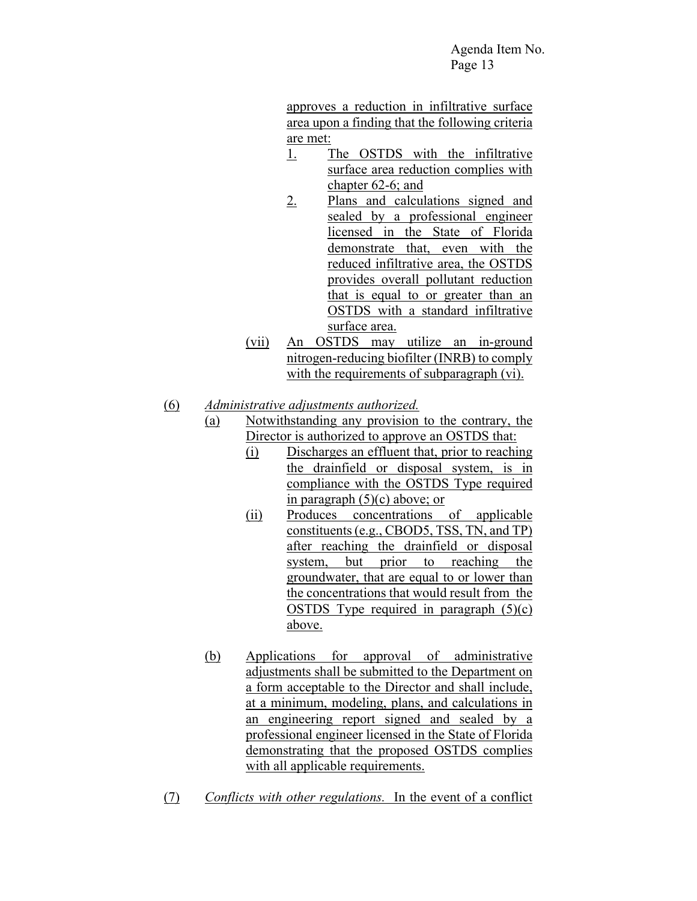approves a reduction in infiltrative surface area upon a finding that the following criteria are met:

- 1. The OSTDS with the infiltrative surface area reduction complies with chapter 62-6; and
- 2. Plans and calculations signed and sealed by a professional engineer licensed in the State of Florida demonstrate that, even with the reduced infiltrative area, the OSTDS provides overall pollutant reduction that is equal to or greater than an OSTDS with a standard infiltrative surface area.
- (vii) An OSTDS may utilize an in-ground nitrogen-reducing biofilter (INRB) to comply with the requirements of subparagraph (vi).
- (6) *Administrative adjustments authorized.*
	- (a) Notwithstanding any provision to the contrary, the Director is authorized to approve an OSTDS that:
		- (i) Discharges an effluent that, prior to reaching the drainfield or disposal system, is in compliance with the OSTDS Type required in paragraph (5)(c) above; or
		- (ii) Produces concentrations of applicable constituents (e.g., CBOD5, TSS, TN, and TP) after reaching the drainfield or disposal system, but prior to reaching the groundwater, that are equal to or lower than the concentrations that would result from the OSTDS Type required in paragraph  $(5)(c)$ above.
	- (b) Applications for approval of administrative adjustments shall be submitted to the Department on a form acceptable to the Director and shall include, at a minimum, modeling, plans, and calculations in an engineering report signed and sealed by a professional engineer licensed in the State of Florida demonstrating that the proposed OSTDS complies with all applicable requirements.
- (7) *Conflicts with other regulations.* In the event of a conflict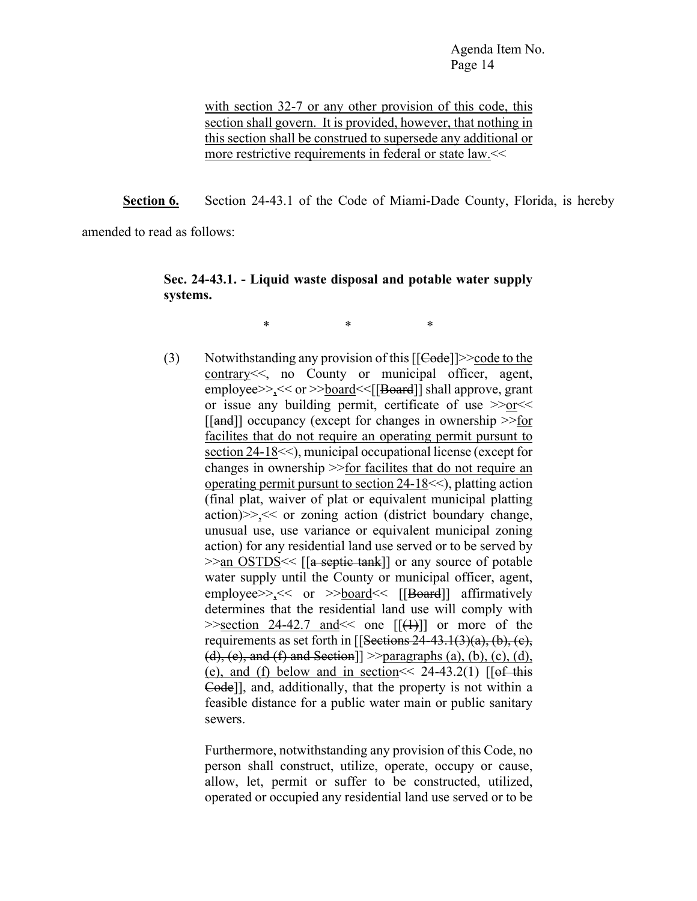with section 32-7 or any other provision of this code, this section shall govern. It is provided, however, that nothing in this section shall be construed to supersede any additional or more restrictive requirements in federal or state law.<<

**Section 6.** Section 24-43.1 of the Code of Miami-Dade County, Florida, is hereby

amended to read as follows:

## **Sec. 24-43.1. - Liquid waste disposal and potable water supply systems.**

\* \* \*

(3) Notwithstanding any provision of this  $[ [Code]] \geq 2$  code to the contrary<<, no County or municipal officer, agent, employee>>,<< or >>board<<[[Board]] shall approve, grant or issue any building permit, certificate of use >>or<< [[and]] occupancy (except for changes in ownership >>for facilites that do not require an operating permit pursunt to section 24-18<<), municipal occupational license (except for changes in ownership >>for facilites that do not require an operating permit pursunt to section 24-18<<), platting action (final plat, waiver of plat or equivalent municipal platting action)>>,<< or zoning action (district boundary change, unusual use, use variance or equivalent municipal zoning action) for any residential land use served or to be served by  $\gg$ an OSTDS  $\ll$  [[a septic tank]] or any source of potable water supply until the County or municipal officer, agent, employee $>>$ ,  $<<$  or  $>>$ board $<<$  [[Board]] affirmatively determines that the residential land use will comply with  $\ge$  section 24-42.7 and  $\le$  one  $[[(+)]]$  or more of the requirements as set forth in  $[$ [Sections 24-43.1(3)(a), (b), (c),  $(d)$ , (e), and (f) and Section]  $\ge$  paragraphs (a), (b), (c), (d), (e), and (f) below and in section  $\leq 24-43.2(1)$  [[of this Code]], and, additionally, that the property is not within a feasible distance for a public water main or public sanitary sewers.

> Furthermore, notwithstanding any provision of this Code, no person shall construct, utilize, operate, occupy or cause, allow, let, permit or suffer to be constructed, utilized, operated or occupied any residential land use served or to be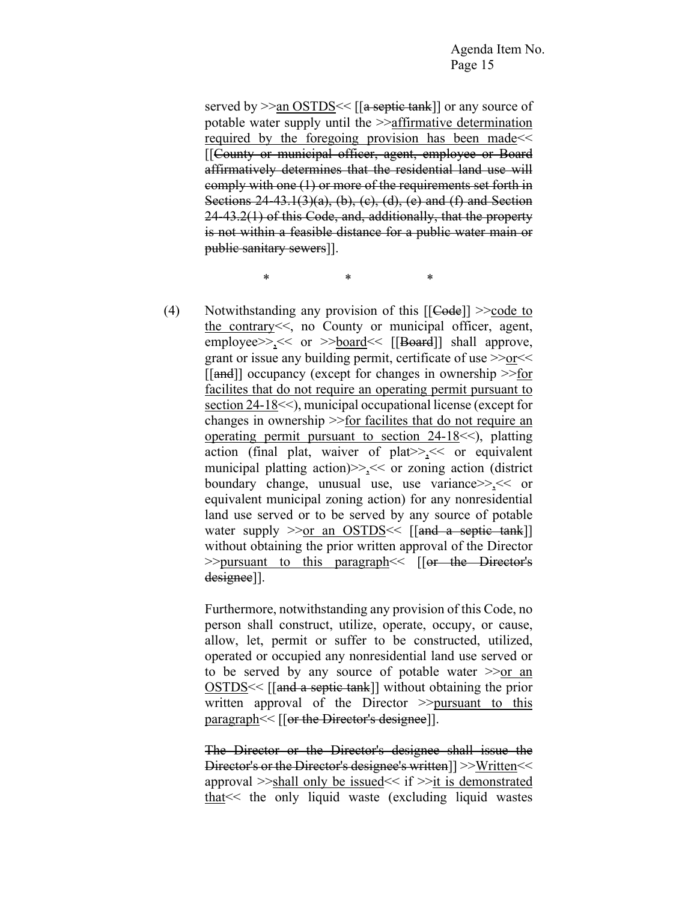served by >>an OSTDS << [[a septic tank]] or any source of potable water supply until the >>affirmative determination required by the foregoing provision has been made<< [[County or municipal officer, agent, employee or Board affirmatively determines that the residential land use will comply with one (1) or more of the requirements set forth in Sections  $24-43.1(3)(a)$ , (b), (c), (d), (e) and (f) and Section 24-43.2(1) of this Code, and, additionally, that the property is not within a feasible distance for a public water main or public sanitary sewers]].

\* \* \*

(4) Notwithstanding any provision of this  $[ [Code]] > \text{code to}$ the contrary<<, no County or municipal officer, agent, employee>>><< or >>board<< [[Board]] shall approve, grant or issue any building permit, certificate of use >>or<<  $\lfloor \lceil \text{and} \rceil \rfloor$  occupancy (except for changes in ownership  $\geq \underline{\text{for}}$ facilites that do not require an operating permit pursuant to section 24-18<<), municipal occupational license (except for changes in ownership >>for facilites that do not require an operating permit pursuant to section 24-18<<), platting action (final plat, waiver of plat>>,<< or equivalent municipal platting action)>>,<< or zoning action (district boundary change, unusual use, use variance>>,<< or equivalent municipal zoning action) for any nonresidential land use served or to be served by any source of potable water supply  $\gg$  or an OSTDS  $\ll$  [[and a septic tank]] without obtaining the prior written approval of the Director >>pursuant to this paragraph << [[or the Director's designee]].

> Furthermore, notwithstanding any provision of this Code, no person shall construct, utilize, operate, occupy, or cause, allow, let, permit or suffer to be constructed, utilized, operated or occupied any nonresidential land use served or to be served by any source of potable water >>or an OSTDS<< [[and a septic tank]] without obtaining the prior written approval of the Director  $\gg$  pursuant to this paragraph <<<<ra>[[or the Director's designee]].

> The Director or the Director's designee shall issue the Director's or the Director's designee's written]] >>Written<< approval >>shall only be issued<< if >>it is demonstrated that<< the only liquid waste (excluding liquid wastes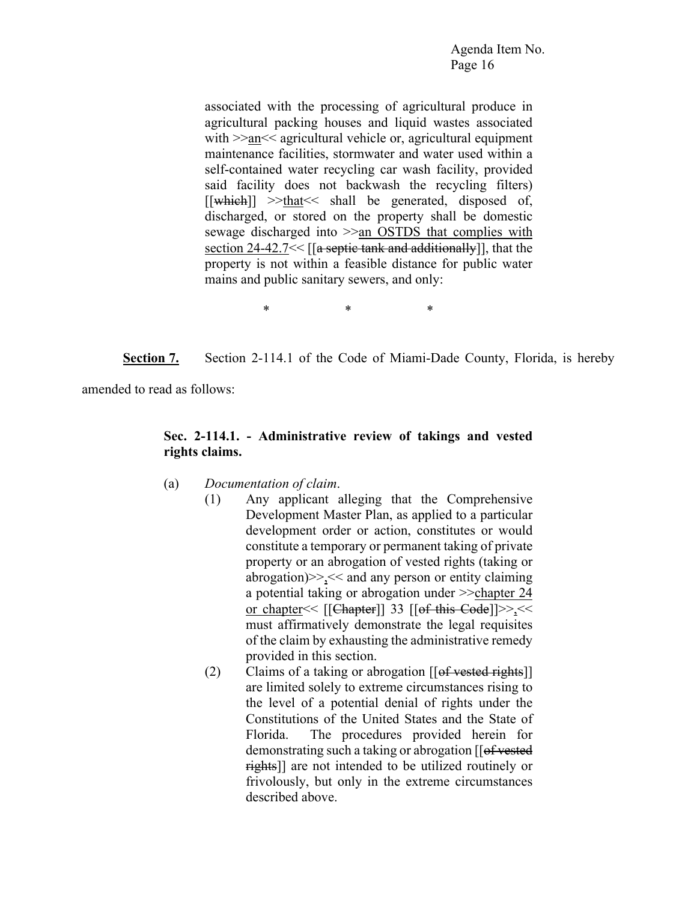associated with the processing of agricultural produce in agricultural packing houses and liquid wastes associated with >>an<< agricultural vehicle or, agricultural equipment maintenance facilities, stormwater and water used within a self-contained water recycling car wash facility, provided said facility does not backwash the recycling filters)  $[[\text{which}]] \gg \text{that}<< \text{shall}$  be generated, disposed of, discharged, or stored on the property shall be domestic sewage discharged into >>an OSTDS that complies with section 24-42.7 $\leq$  [[a septic tank and additionally]], that the property is not within a feasible distance for public water mains and public sanitary sewers, and only:

\* \* \*

**Section 7.** Section 2-114.1 of the Code of Miami-Dade County, Florida, is hereby

amended to read as follows:

## **Sec. 2-114.1. - Administrative review of takings and vested rights claims.**

- (a) *Documentation of claim*.
	- (1) Any applicant alleging that the Comprehensive Development Master Plan, as applied to a particular development order or action, constitutes or would constitute a temporary or permanent taking of private property or an abrogation of vested rights (taking or abrogation) $\geq$  << and any person or entity claiming a potential taking or abrogation under  $\gg$ chapter 24 or chapter<< [[Chapter]] 33 [[of this Code]]>>,<< must affirmatively demonstrate the legal requisites of the claim by exhausting the administrative remedy provided in this section.
		- (2) Claims of a taking or abrogation  $[\text{[of tested rights]}]$ are limited solely to extreme circumstances rising to the level of a potential denial of rights under the Constitutions of the United States and the State of Florida. The procedures provided herein for demonstrating such a taking or abrogation [[of vested] rights]] are not intended to be utilized routinely or frivolously, but only in the extreme circumstances described above.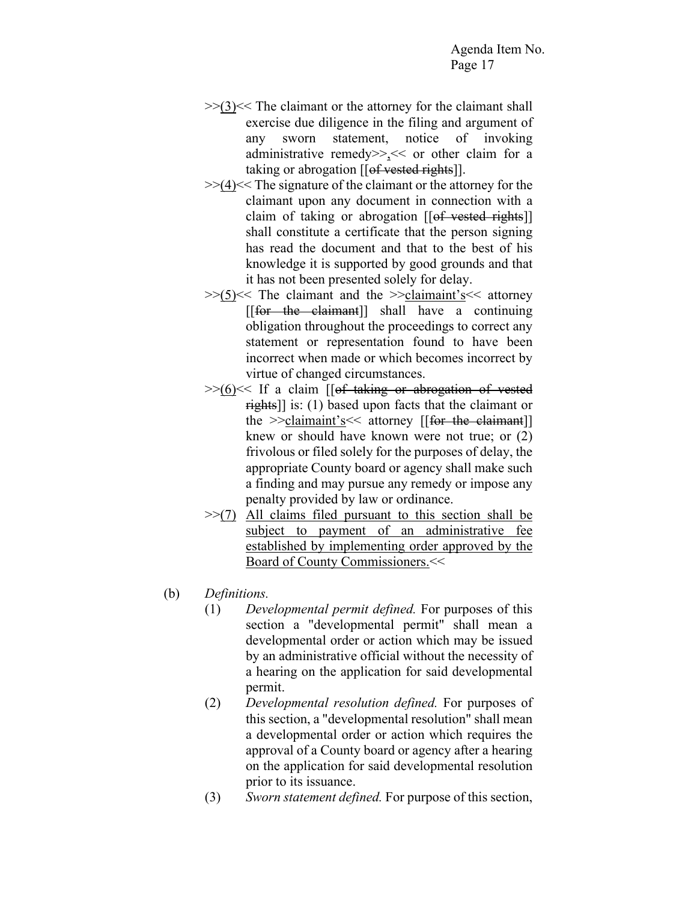- $>>(3)<<$  The claimant or the attorney for the claimant shall exercise due diligence in the filing and argument of any sworn statement, notice of invoking administrative remedy>>,<< or other claim for a taking or abrogation  $[[of<sub>vested</sub> rights]].$
- $\geq$   $(4)$   $\lt$  The signature of the claimant or the attorney for the claimant upon any document in connection with a claim of taking or abrogation  $[[of<sub>vested</sub> rights]]$ shall constitute a certificate that the person signing has read the document and that to the best of his knowledge it is supported by good grounds and that it has not been presented solely for delay.
- $>>(5)<<$  The claimant and the  $>>$ claimaint's  $<<$  attorney [[for the claimant]] shall have a continuing obligation throughout the proceedings to correct any statement or representation found to have been incorrect when made or which becomes incorrect by virtue of changed circumstances.
- $\gg$ (6) $<<$  If a claim [[of taking or abrogation of vested  $\frac{\text{right}}{\text{right}}$ ] is: (1) based upon facts that the claimant or the  $\ge$ -claimaint's  $\le$  attorney [[for the claimant]] knew or should have known were not true; or (2) frivolous or filed solely for the purposes of delay, the appropriate County board or agency shall make such a finding and may pursue any remedy or impose any penalty provided by law or ordinance.
- $\gg$ (7) All claims filed pursuant to this section shall be subject to payment of an administrative fee established by implementing order approved by the Board of County Commissioners.<<
- (b) *Definitions.*
	- (1) *Developmental permit defined.* For purposes of this section a "developmental permit" shall mean a developmental order or action which may be issued by an administrative official without the necessity of a hearing on the application for said developmental permit.
	- (2) *Developmental resolution defined.* For purposes of this section, a "developmental resolution" shall mean a developmental order or action which requires the approval of a County board or agency after a hearing on the application for said developmental resolution prior to its issuance.
	- (3) *Sworn statement defined.* For purpose of this section,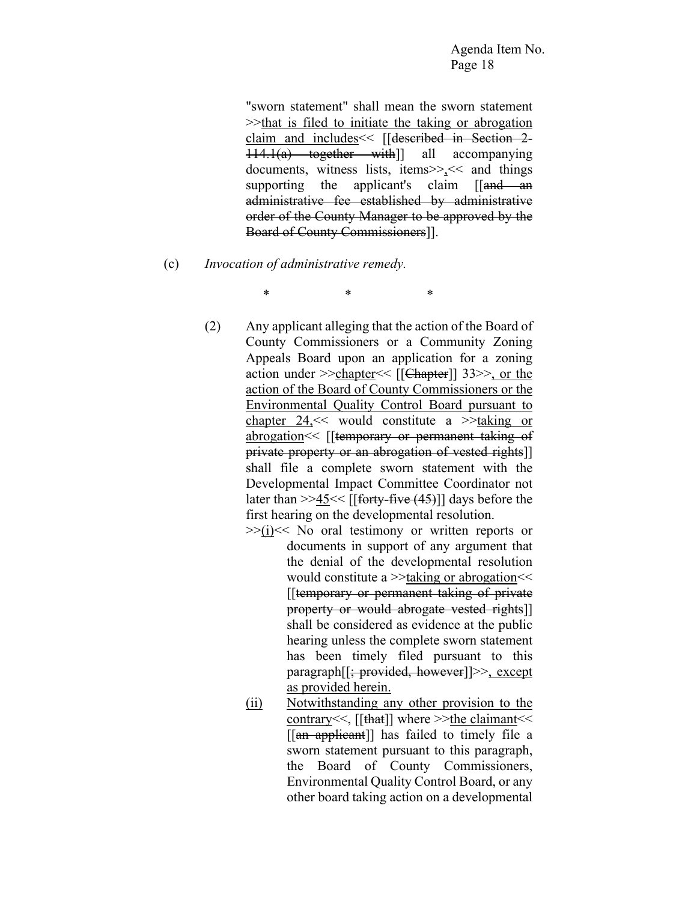"sworn statement" shall mean the sworn statement >>that is filed to initiate the taking or abrogation claim and includes<< [[described in Section 2- 114.1(a) together with]] all accompanying documents, witness lists, items>>,<< and things supporting the applicant's claim [[and an administrative fee established by administrative order of the County Manager to be approved by the Board of County Commissioners]].

- (c) *Invocation of administrative remedy.*
	- (2) Any applicant alleging that the action of the Board of County Commissioners or a Community Zoning Appeals Board upon an application for a zoning action under  $\ge$ -chapter  $\le$  [[Chapter]] 33 $\ge$ , or the action of the Board of County Commissioners or the Environmental Quality Control Board pursuant to chapter 24,<< would constitute a >>taking or abrogation<< [[temporary or permanent taking of private property or an abrogation of vested rights]] shall file a complete sworn statement with the Developmental Impact Committee Coordinator not later than  $>>45<<$  [[forty-five (45)]] days before the first hearing on the developmental resolution.

\* \* \*

- $>>(i)<<$  No oral testimony or written reports or documents in support of any argument that the denial of the developmental resolution would constitute a  $\ge$  taking or abrogation  $<<$ [[temporary or permanent taking of private property or would abrogate vested rights]] shall be considered as evidence at the public hearing unless the complete sworn statement has been timely filed pursuant to this paragraph[[; provided, however]]>>, except as provided herein.
- (ii) Notwithstanding any other provision to the contrary<<, [[that]] where >>the claimant<< [[an applicant]] has failed to timely file a sworn statement pursuant to this paragraph, the Board of County Commissioners, Environmental Quality Control Board, or any other board taking action on a developmental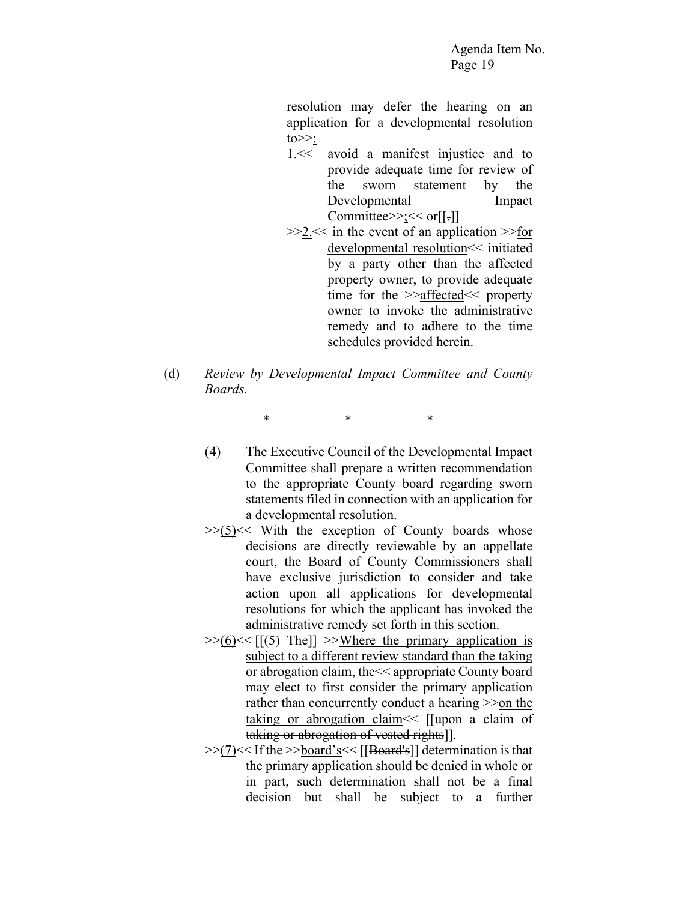resolution may defer the hearing on an application for a developmental resolution  $to \gg:$ 

- 1.<< avoid a manifest injustice and to provide adequate time for review of the sworn statement by the Developmental Impact Committee> $\geq$ ;  $\lt$  or  $[[,]]$
- >>2.<< in the event of an application >>for developmental resolution<< initiated by a party other than the affected property owner, to provide adequate time for the >>affected<< property owner to invoke the administrative remedy and to adhere to the time schedules provided herein.
- (d) *Review by Developmental Impact Committee and County Boards.*

\* \* \*

- (4) The Executive Council of the Developmental Impact Committee shall prepare a written recommendation to the appropriate County board regarding sworn statements filed in connection with an application for a developmental resolution.
- $>>(5)<$  With the exception of County boards whose decisions are directly reviewable by an appellate court, the Board of County Commissioners shall have exclusive jurisdiction to consider and take action upon all applications for developmental resolutions for which the applicant has invoked the administrative remedy set forth in this section.
- $>>(6)<<$  [ $(5)$  The]]  $>>$ Where the primary application is subject to a different review standard than the taking or abrogation claim, the<< appropriate County board may elect to first consider the primary application rather than concurrently conduct a hearing  $\gg$ on the taking or abrogation claim  $\leq$  [[upon a claim of taking or abrogation of vested rights]].
- >>(7)<< If the >>board's<< [[Board's]] determination is that the primary application should be denied in whole or in part, such determination shall not be a final decision but shall be subject to a further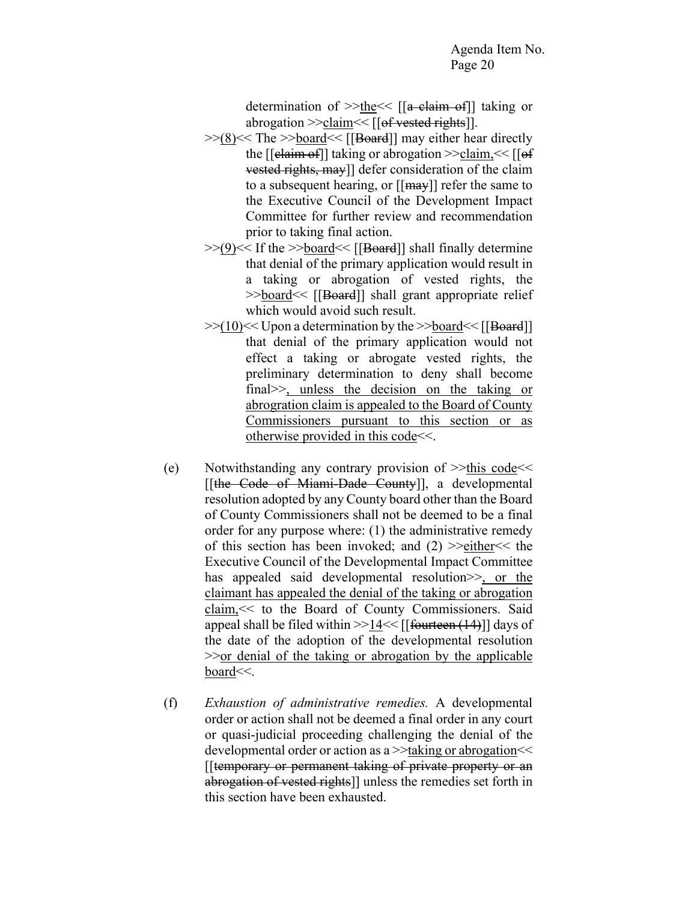determination of  $\ge$ the  $\le$  [[a claim of]] taking or abrogation  $\ge$ -claim  $\le$  [[ $\theta$ f vested rights]].

- $>>(8)<<$  The  $>>$ board $<<$  [[Board]] may either hear directly the  $[[$ elaim of]] taking or abrogation  $\ge$  claim,  $\le$   $[[$  of vested rights, may]] defer consideration of the claim to a subsequent hearing, or  $[[max]]$  refer the same to the Executive Council of the Development Impact Committee for further review and recommendation prior to taking final action.
- $>>(9)<<$  If the  $>>board<<$  [[Board]] shall finally determine that denial of the primary application would result in a taking or abrogation of vested rights, the >>board << [[Board]] shall grant appropriate relief which would avoid such result.
- $>>(10)<<$  Upon a determination by the  $>>$ board $<<$  [[Board]] that denial of the primary application would not effect a taking or abrogate vested rights, the preliminary determination to deny shall become final>>, unless the decision on the taking or abrogration claim is appealed to the Board of County Commissioners pursuant to this section or as otherwise provided in this code<<.
- (e) Notwithstanding any contrary provision of >>this code<< [[the Code of Miami-Dade County]], a developmental resolution adopted by any County board other than the Board of County Commissioners shall not be deemed to be a final order for any purpose where: (1) the administrative remedy of this section has been invoked; and  $(2)$  >>either  $\le$  the Executive Council of the Developmental Impact Committee has appealed said developmental resolution  $\geq$ , or the claimant has appealed the denial of the taking or abrogation claim,<< to the Board of County Commissioners. Said appeal shall be filed within  $>>14<<$  [[fourteen  $(14)$ ]] days of the date of the adoption of the developmental resolution >>or denial of the taking or abrogation by the applicable board<<.
- (f) *Exhaustion of administrative remedies.* A developmental order or action shall not be deemed a final order in any court or quasi-judicial proceeding challenging the denial of the developmental order or action as a >>taking or abrogation<< [[temporary or permanent taking of private property or an abrogation of vested rights]] unless the remedies set forth in this section have been exhausted.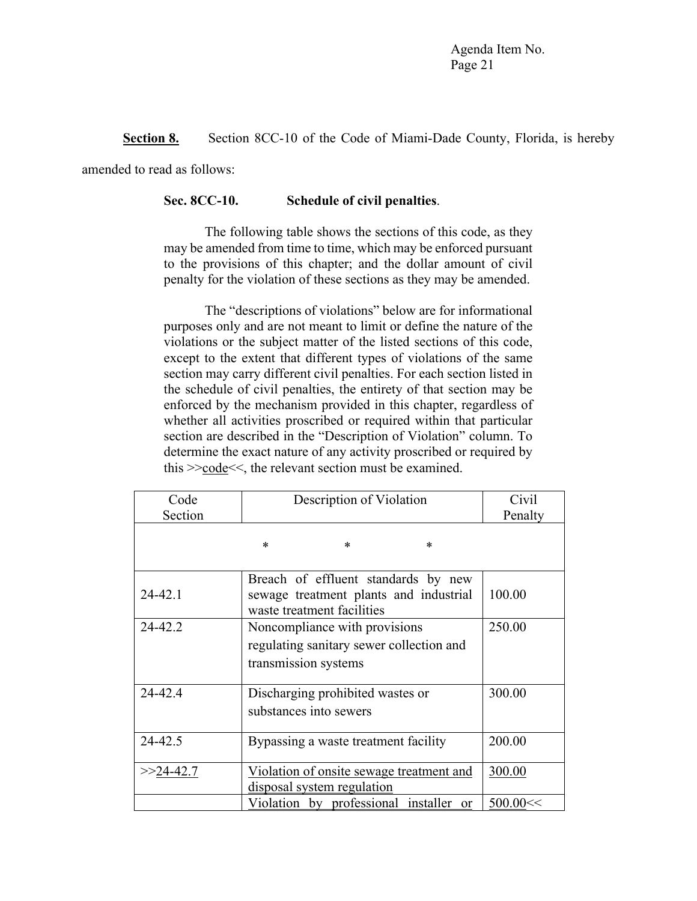**Section 8.** Section 8CC-10 of the Code of Miami-Dade County, Florida, is hereby

amended to read as follows:

#### **Sec. 8CC-10. Schedule of civil penalties**.

The following table shows the sections of this code, as they may be amended from time to time, which may be enforced pursuant to the provisions of this chapter; and the dollar amount of civil penalty for the violation of these sections as they may be amended.

The "descriptions of violations" below are for informational purposes only and are not meant to limit or define the nature of the violations or the subject matter of the listed sections of this code, except to the extent that different types of violations of the same section may carry different civil penalties. For each section listed in the schedule of civil penalties, the entirety of that section may be enforced by the mechanism provided in this chapter, regardless of whether all activities proscribed or required within that particular section are described in the "Description of Violation" column. To determine the exact nature of any activity proscribed or required by this >>code<<, the relevant section must be examined.

| Description of Violation<br>Code<br>Section |                                                                                                             | Civil<br>Penalty |
|---------------------------------------------|-------------------------------------------------------------------------------------------------------------|------------------|
|                                             | $\ast$<br>$\ast$<br>$\ast$                                                                                  |                  |
| $24 - 42.1$                                 | Breach of effluent standards by new<br>sewage treatment plants and industrial<br>waste treatment facilities | 100.00           |
| 24-42.2                                     | Noncompliance with provisions<br>regulating sanitary sewer collection and<br>transmission systems           | 250.00           |
| 24-42.4                                     | Discharging prohibited wastes or<br>substances into sewers                                                  | 300.00           |
| 24-42.5                                     | Bypassing a waste treatment facility                                                                        | 200.00           |
| $>>24-42.7$                                 | Violation of onsite sewage treatment and<br>disposal system regulation                                      | 300.00           |
|                                             | Violation by professional installer or                                                                      | 500.00 <         |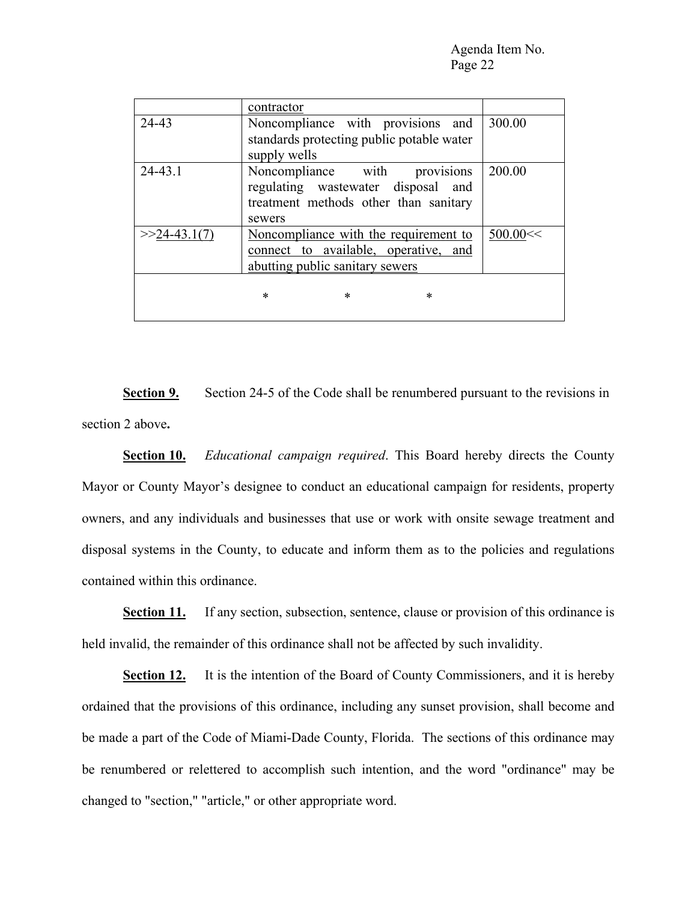|                | contractor                                                                                                                |          |
|----------------|---------------------------------------------------------------------------------------------------------------------------|----------|
| 24-43          | Noncompliance with provisions and<br>standards protecting public potable water<br>supply wells                            | 300.00   |
| 24-43.1        | provisions<br>Noncompliance with<br>regulating wastewater disposal and<br>treatment methods other than sanitary<br>sewers | 200.00   |
| $>>24-43.1(7)$ | Noncompliance with the requirement to<br>connect to available, operative, and<br>abutting public sanitary sewers          | 500.00 < |
|                | $\ast$<br>*<br>*                                                                                                          |          |

**Section 9.** Section 24-5 of the Code shall be renumbered pursuant to the revisions in section 2 above**.**

**Section 10.** *Educational campaign required*. This Board hereby directs the County Mayor or County Mayor's designee to conduct an educational campaign for residents, property owners, and any individuals and businesses that use or work with onsite sewage treatment and disposal systems in the County, to educate and inform them as to the policies and regulations contained within this ordinance.

**Section 11.** If any section, subsection, sentence, clause or provision of this ordinance is held invalid, the remainder of this ordinance shall not be affected by such invalidity.

**Section 12.** It is the intention of the Board of County Commissioners, and it is hereby ordained that the provisions of this ordinance, including any sunset provision, shall become and be made a part of the Code of Miami-Dade County, Florida. The sections of this ordinance may be renumbered or relettered to accomplish such intention, and the word "ordinance" may be changed to "section," "article," or other appropriate word.